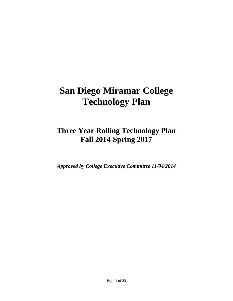# **San Diego Miramar College Technology Plan**

## **Three Year Rolling Technology Plan Fall 2014-Spring 2017**

*Approved by College Executive Committee 11/04/2014*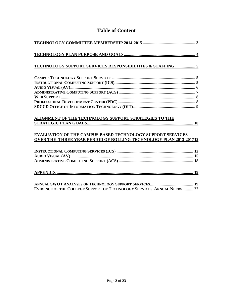| <b>TECHNOLOGY SUPPORT SERVICES RESPONSIBILITIES &amp; STAFFING  5</b>                                                                  |
|----------------------------------------------------------------------------------------------------------------------------------------|
|                                                                                                                                        |
|                                                                                                                                        |
|                                                                                                                                        |
|                                                                                                                                        |
|                                                                                                                                        |
| <b>EVALUATION OF THE CAMPUS-BASED TECHNOLOGY SUPPORT SERVICES</b><br>OVER THE THREE YEAR PERIOD OF ROLLING TECHNOLOGY PLAN 2013-201712 |
|                                                                                                                                        |
|                                                                                                                                        |

## **Table of Content**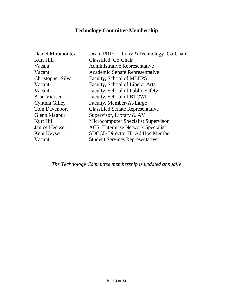## **Technology Committee Membership**

<span id="page-2-0"></span>

| Dean, PRIE, Library & Technology, Co-Chair |
|--------------------------------------------|
| Classified, Co-Chair                       |
| <b>Administrative Representative</b>       |
| Academic Senate Representative             |
| Faculty, School of MBEPS                   |
| Faculty, School of Liberal Arts            |
| Faculty, School of Public Safety           |
| Faculty, School of BTCWI                   |
| Faculty, Member-At-Large                   |
| <b>Classified Senate Representative</b>    |
| Supervisor, Library & AV                   |
| Microcomputer Specialist Supervisor        |
| ACS, Enterprise Network Specialist         |
| SDCCD Director IT, Ad Hoc Member           |
| <b>Student Services Representative</b>     |
|                                            |

*The Technology Committee membership is updated annually*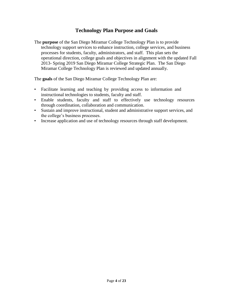#### **Technology Plan Purpose and Goals**

<span id="page-3-0"></span>The **purpose** of the San Diego Miramar College Technology Plan is to provide technology support services to enhance instruction, college services, and business processes for students, faculty, administrators, and staff. This plan sets the operational direction, college goals and objectives in alignment with the updated Fall 2013- Spring 2019 San Diego Miramar College Strategic Plan. The San Diego Miramar College Technology Plan is reviewed and updated annually.

The **goals** of the San Diego Miramar College Technology Plan are:

- Facilitate learning and teaching by providing access to information and instructional technologies to students, faculty and staff.
- Enable students, faculty and staff to effectively use technology resources through coordination, collaboration and communication.
- Sustain and improve instructional, student and administrative support services, and the college's business processes.
- Increase application and use of technology resources through staff development.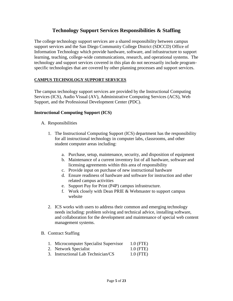#### **Technology Support Services Responsibilities & Staffing**

<span id="page-4-0"></span>The college technology support services are a shared responsibility between campus support services and the San Diego Community College District (SDCCD) Office of Information Technology which provide hardware, software, and infrastructure to support learning, teaching, college‐wide communications, research, and operational systems. The technology and support services covered in this plan do not necessarily include program‐ specific technologies that are covered by other planning processes and support services.

#### <span id="page-4-1"></span>**CAMPUS TECHNOLOGY SUPPORT SERVICES**

The campus technology support services are provided by the Instructional Computing Services (ICS), Audio Visual (AV), Administrative Computing Services (ACS), Web Support, and the Professional Development Center (PDC).

#### <span id="page-4-2"></span>**Instructional Computing Support (ICS)**

- A. Responsibilities
	- 1. The Instructional Computing Support (ICS) department has the responsibility for all instructional technology in computer labs, classrooms, and other student computer areas including:
		- a. Purchase, setup, maintenance, security, and disposition of equipment
		- b. Maintenance of a current inventory list of all hardware, software and licensing agreements within this area of responsibility
		- c. Provide input on purchase of new instructional hardware
		- d. Ensure readiness of hardware and software for instruction and other related campus activities
		- e. Support Pay for Print (P4P) campus infrastructure.
		- f. Work closely with Dean PRIE & Webmaster to support campus website
	- 2. ICS works with users to address their common and emerging technology needs including: problem solving and technical advice, installing software, and collaboration for the development and maintenance of special web content management systems.

#### B. Contract Staffing

- 1. Microcomputer Specialist Supervisor 1.0 (FTE)
- 2. Network Specialist 1.0 (FTE)
- 3. Instructional Lab Technician/CS 1.0 (FTE)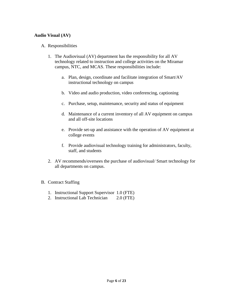#### <span id="page-5-0"></span>**Audio Visual (AV)**

#### A. Responsibilities

- 1. The Audiovisual (AV) department has the responsibility for all AV technology related to instruction and college activities on the Miramar campus, NTC, and MCAS. These responsibilities include:
	- a. Plan, design, coordinate and facilitate integration of Smart/AV instructional technology on campus
	- b. Video and audio production, video conferencing, captioning
	- c. Purchase, setup, maintenance, security and status of equipment
	- d. Maintenance of a current inventory of all AV equipment on campus and all off-site locations
	- e. Provide set-up and assistance with the operation of AV equipment at college events
	- f. Provide audiovisual technology training for administrators, faculty, staff, and students
- 2. AV recommends/oversees the purchase of audiovisual/ Smart technology for all departments on campus.

#### B. Contract Staffing

- 1. Instructional Support Supervisor 1.0 (FTE)
- 2. Instructional Lab Technician 2.0 (FTE)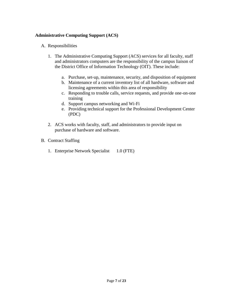#### <span id="page-6-0"></span>**Administrative Computing Support (ACS)**

- A. Responsibilities
	- 1. The Administrative Computing Support (ACS) services for all faculty, staff and administrators computers are the responsibility of the campus liaison of the District Office of Information Technology (OIT). These include:
		- a. Purchase, set‐up, maintenance, security, and disposition of equipment
		- b. Maintenance of a current inventory list of all hardware, software and licensing agreements within this area of responsibility
		- c. Responding to trouble calls, service requests, and provide one‐on‐one training
		- d. Support campus networking and Wi‐Fi
		- e. Providing technical support for the Professional Development Center (PDC)
	- 2. ACS works with faculty, staff, and administrators to provide input on purchase of hardware and software.
- B. Contract Staffing
	- 1. Enterprise Network Specialist 1.0 (FTE)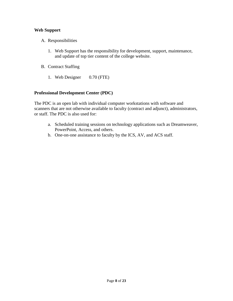#### <span id="page-7-0"></span>**Web Support**

- A. Responsibilities
	- 1. Web Support has the responsibility for development, support, maintenance, and update of top tier content of the college website.
- B. Contract Staffing
	- 1. Web Designer 0.70 (FTE)

#### <span id="page-7-1"></span>**Professional Development Center (PDC)**

The PDC is an open lab with individual computer workstations with software and scanners that are not otherwise available to faculty (contract and adjunct), administrators, or staff. The PDC is also used for:

- a. Scheduled training sessions on technology applications such as Dreamweaver, PowerPoint, Access, and others.
- b. One‐on‐one assistance to faculty by the ICS, AV, and ACS staff.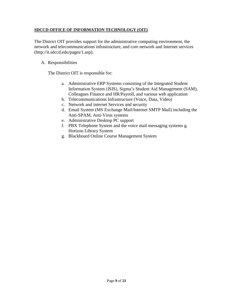#### <span id="page-8-0"></span>**SDCCD OFFICE OF INFORMATION TECHNOLOGY (OIT)**

The District OIT provides support for the administrative computing environment, the network and telecommunications infrastructure, and core network and Internet services (http://it.sdccd.edu/pages/1.asp).

#### A. Responsibilities

The District OIT is responsible for:

- a. Administrative ERP Systems consisting of the Integrated Student Information System (ISIS), Sigma's Student Aid Management (SAM), Colleagues Finance and HR/Payroll, and various web application
- b. Telecommunications Infrastructure (Voice, Data, Video)
- c. Network and internet Services and security
- d. Email System (MS Exchange Mail/Internet SMTP Mail) including the Anti‐SPAM, Anti‐Virus systems
- e. Administrative Desktop PC support
- f. PBX Telephone System and the voice mail messaging systems g. Horizon Library System
- g. Blackboard Online Course Management System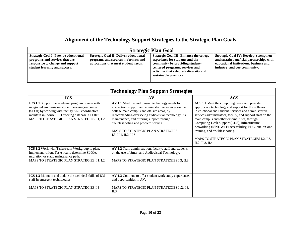## **Alignment of the Technology Support Strategies to the Strategic Plan Goals**

| <b>Strategic Plan Goal</b>                                                                                                                          |                                                                                                                                |                                                                                                                                                                                                                              |                                                                                                                                                                     |  |  |  |  |
|-----------------------------------------------------------------------------------------------------------------------------------------------------|--------------------------------------------------------------------------------------------------------------------------------|------------------------------------------------------------------------------------------------------------------------------------------------------------------------------------------------------------------------------|---------------------------------------------------------------------------------------------------------------------------------------------------------------------|--|--|--|--|
| <b>Strategic Goal I: Provide educational</b><br>programs and services that are<br>responsive to change and support<br>student learning and success. | <b>Strategic Goal II: Deliver educational</b><br>programs and services in formats and<br>at locations that meet student needs. | <b>Strategic Goal III: Enhance the college</b><br>experience for students and the<br>community by providing student-<br>centered programs, services and<br>activities that celebrate diversity and<br>sustainable practices. | <b>Strategic Goal IV: Develop, strengthen</b><br>and sustain beneficial partnerships with<br>educational institutions, business and<br>industry, and our community. |  |  |  |  |

<span id="page-9-0"></span>

| <b>Technology Plan Support Strategies</b>                                                                                                                                                                                                                  |                                                                                                                                                                                                                                                                                                                                                                            |                                                                                                                                                                                                                                                                                                                                                                                                                                                                                            |  |  |  |  |  |
|------------------------------------------------------------------------------------------------------------------------------------------------------------------------------------------------------------------------------------------------------------|----------------------------------------------------------------------------------------------------------------------------------------------------------------------------------------------------------------------------------------------------------------------------------------------------------------------------------------------------------------------------|--------------------------------------------------------------------------------------------------------------------------------------------------------------------------------------------------------------------------------------------------------------------------------------------------------------------------------------------------------------------------------------------------------------------------------------------------------------------------------------------|--|--|--|--|--|
| <b>ICS</b>                                                                                                                                                                                                                                                 | AV                                                                                                                                                                                                                                                                                                                                                                         | <b>ACS</b>                                                                                                                                                                                                                                                                                                                                                                                                                                                                                 |  |  |  |  |  |
| ICS 1.1 Support the academic program review with<br>integrated emphasis on student learning outcomes<br>(SLOs) by working with faculty SLO coordinators<br>maintain in- house SLO tracking database, SLOJet.<br>MAPS TO STRATEGIC PLAN STRATEGIES I.1, I.2 | AV 1.1 Meet the audiovisual technology needs for<br>instruction, support and administrative services on the<br>college main campus and off-site areas, by<br>recommending/overseeing audiovisual technology, its<br>maintenance, and offering support through<br>troubleshooting and problem solving.<br><b>MAPS TO STRATEGIC PLAN STRATEGIES</b><br>I.3, II.1, II.2, II.3 | ACS 1.1 Meet the computing needs and provide<br>appropriate technology and support for the colleges<br>instructional and Student Services and administrative<br>services administrators, faculty, and support staff on the<br>main campus and other external sites, through<br>Computing Desk Support (CDS), Infrastructure<br>networking (ISN), Wi-Fi accessibility, PDC, one-on-one<br>training, and troubleshooting.<br>MAPS TO STRATEGIC PLAN STRATEGIES I.2, I.3,<br>II.2, II.3, II.4 |  |  |  |  |  |
| ICS 1.2 Work with Taskstream Workgroup to plan,<br>implement rollout Taskstream, determine SLOJet<br>migration or static maintenance path.<br>MAPS TO STRATEGIC PLAN STRATEGIES I.1, I.2                                                                   | AV 1.2 Train administration, faculty, staff and students<br>on the use of Smart and Audiovisual Technology.<br>MAPS TO STRATEGIC PLAN STRATEGIES I.3, II.3                                                                                                                                                                                                                 |                                                                                                                                                                                                                                                                                                                                                                                                                                                                                            |  |  |  |  |  |
| ICS 1.3 Maintain and update the technical skills of ICS<br>staff in emergent technologies.<br>MAPS TO STRATEGIC PLAN STRATEGIES I.3                                                                                                                        | AV 1.3 Continue to offer student work study experiences<br>and opportunities in AV.<br>MAPS TO STRATEGIC PLAN STRATEGIES I .2, I.3,<br>II.3                                                                                                                                                                                                                                |                                                                                                                                                                                                                                                                                                                                                                                                                                                                                            |  |  |  |  |  |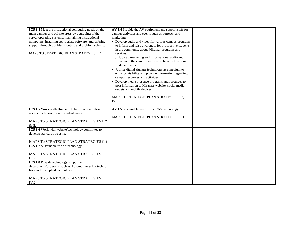| ICS 1.4 Meet the instructional computing needs on the    | AV 1.4 Provide the AV equipment and support staff for  |  |
|----------------------------------------------------------|--------------------------------------------------------|--|
| main campus and off-site areas by upgrading of the       | campus activities and events such as outreach and      |  |
| server operating systems, maintaining instructional      | marketing                                              |  |
| computers, installing appropriate software, and offering | • Develop audio and video for various campus programs  |  |
| support through trouble- shooting and problem solving.   | to inform and raise awareness for prospective students |  |
|                                                          | in the community about Miramar programs and            |  |
| MAPS TO STRATEGIC PLAN STRATEGIES II.4                   | services.                                              |  |
|                                                          | o Upload marketing and informational audio and         |  |
|                                                          | video to the campus website on behalf of various       |  |
|                                                          |                                                        |  |
|                                                          | departments.                                           |  |
|                                                          | • Utilize digital signage technology as a medium to    |  |
|                                                          | enhance visibility and provide information regarding   |  |
|                                                          | campus resources and activities.                       |  |
|                                                          | • Develop media presence programs and resources to     |  |
|                                                          | post information to Miramar website, social media      |  |
|                                                          | outlets and mobile devices.                            |  |
|                                                          |                                                        |  |
|                                                          | MAPS TO STRATEGIC PLAN STRATEGIES II.3,                |  |
|                                                          | IV.1                                                   |  |
|                                                          |                                                        |  |
| <b>ICS 1.5 Work with District IT to Provide wireless</b> | AV 1.5 Sustainable use of Smart/AV technology          |  |
| access to classrooms and student areas.                  |                                                        |  |
|                                                          | MAPS TO STRATEGIC PLAN STRATEGIES III.1                |  |
| MAPS To STRATEGIC PLAN STRATEGIES II.2                   |                                                        |  |
| $\&$ II.4                                                |                                                        |  |
| ICS 1.6 Work with website/technology committee to        |                                                        |  |
| develop standards website.                               |                                                        |  |
|                                                          |                                                        |  |
| MAPS To STRATEGIC PLAN STRATEGIES II.4                   |                                                        |  |
| ICS 1.7 Sustainable use of technology.                   |                                                        |  |
|                                                          |                                                        |  |
| MAPS To STRATEGIC PLAN STRATEGIES                        |                                                        |  |
| III.2                                                    |                                                        |  |
| ICS 1.8 Provide technology support to                    |                                                        |  |
| departments/programs such as Automotive & Biotech to     |                                                        |  |
| for vendor supplied technology.                          |                                                        |  |
|                                                          |                                                        |  |
| MAPS To STRATEGIC PLAN STRATEGIES                        |                                                        |  |
| IV.2                                                     |                                                        |  |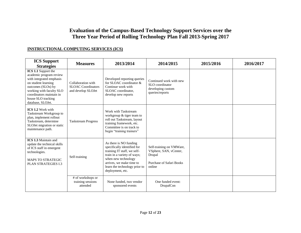### **Evaluation of the Campus-Based Technology Support Services over the Three Year Period of Rolling Technology Plan Fall 2013-Spring 2017**

#### **INSTRUCTIONAL COMPUTING SERVICES (ICS)**

<span id="page-11-1"></span><span id="page-11-0"></span>

| <b>ICS Support</b><br><b>Strategies</b>                                                                                                                                                                                    | <b>Measures</b>                                                       | 2013/2014                                                                                                                                                                                                                   | 2014/2015                                                                                          | 2015/2016 | 2016/2017 |
|----------------------------------------------------------------------------------------------------------------------------------------------------------------------------------------------------------------------------|-----------------------------------------------------------------------|-----------------------------------------------------------------------------------------------------------------------------------------------------------------------------------------------------------------------------|----------------------------------------------------------------------------------------------------|-----------|-----------|
| ICS 1.1 Support the<br>academic program review<br>with integrated emphasis<br>on student learning<br>outcomes (SLOs) by<br>working with faculty SLO<br>coordinators maintain in<br>house SLO tracking<br>database, SLOJet. | Collaboration with<br><b>SLOAC</b> Coordinators<br>and develop SLOJet | Developed reporting queries<br>for SLOAC coordinator &<br>Continue work with<br>SLOAC coordinator,<br>develop new reports                                                                                                   | Continued work with new<br>SLO coordinator<br>developing custom<br>queries/reports                 |           |           |
| <b>ICS 1.2 Work with</b><br>Taskstream Workgroup to<br>plan, implement rollout<br>Taskstream, determine<br>SLOJet migration or static<br>maintenance path.                                                                 | <b>Taskstream Progress</b>                                            | Work with Taskstream<br>workgroup & tiger team to<br>roll out Taskstream, layout<br>training framework, etc.<br>Committee is on track to<br>begin "training trainers"                                                       |                                                                                                    |           |           |
| <b>ICS 1.3 Maintain and</b><br>update the technical skills<br>of ICS staff in emergent<br>technologies.<br><b>MAPS TO STRATEGIC</b><br><b>PLAN STRATEGIES I.3</b>                                                          | Self-training                                                         | As there is NO funding<br>specifically identified for<br>training IT staff, we self-<br>train in a variety of ways;<br>when new technology<br>arrives, we make time to<br>learn the technology prior to<br>deployment, etc. | Self-training on VMWare,<br>VSphere, SAN, vCenter,<br>Drupal<br>Purchase of Safari Books<br>online |           |           |
|                                                                                                                                                                                                                            | # of workshops or<br>training sessions<br>attended                    | None funded, two vendor<br>sponsored events                                                                                                                                                                                 | One funded event:<br>DrupalCon                                                                     |           |           |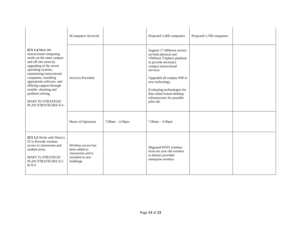|                                                                                                                                                                                                                                                                                                                                                                  | #Computers Serviced                                                                       |                   | Projected 1,600 computers                                                                                                                                                                                                                                                                                | Projected 1,700 computers |  |
|------------------------------------------------------------------------------------------------------------------------------------------------------------------------------------------------------------------------------------------------------------------------------------------------------------------------------------------------------------------|-------------------------------------------------------------------------------------------|-------------------|----------------------------------------------------------------------------------------------------------------------------------------------------------------------------------------------------------------------------------------------------------------------------------------------------------|---------------------------|--|
| ICS 1.4 Meet the<br>instructional computing<br>needs on the main campus<br>and off-site areas by<br>upgrading of the server<br>operating systems,<br>maintaining instructional<br>computers, installing<br>appropriate software, and<br>offering support through<br>trouble-shooting and<br>problem solving.<br><b>MAPS TO STRATEGIC</b><br>PLAN STRATEGIES II.4 | Services Provided                                                                         |                   | Support 17 different servers<br>on both physical and<br>VMWare VSphere platform<br>to provide necessary<br>campus instructional<br>services.<br>Upgraded all campus P4P to<br>new technology.<br>Evaluating technologies for<br>thin-client/virtual desktop<br>infrastructure for possible<br>pilot lab. |                           |  |
|                                                                                                                                                                                                                                                                                                                                                                  | Hours of Operation                                                                        | $7:00am - 4:30pm$ | $7:00am - 4:30pm$                                                                                                                                                                                                                                                                                        |                           |  |
| ICS 1.5 Work with District<br>IT to Provide wireless<br>access to classrooms and<br>student areas.<br><b>MAPS To STRATEGIC</b><br><b>PLAN STRATEGIES II.2</b><br>& II.4                                                                                                                                                                                          | Wireless access has<br>been added to<br>classrooms and is<br>included in new<br>buildings |                   | Migrated POST wireless<br>from ten year old wireless<br>to district provided<br>enterprise wireless                                                                                                                                                                                                      |                           |  |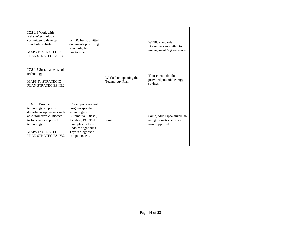| <b>ICS 1.6 Work with</b><br>website/technology<br>committee to develop<br>standards website.<br><b>MAPS To STRATEGIC</b><br>PLAN STRATEGIES II.4                                                           | WEBC has submitted<br>documents proposing<br>standards, best<br>practices, etc.                                                                                                               |                                                  | <b>WEBC</b> standards<br>Documents submitted to<br>management & governance |  |
|------------------------------------------------------------------------------------------------------------------------------------------------------------------------------------------------------------|-----------------------------------------------------------------------------------------------------------------------------------------------------------------------------------------------|--------------------------------------------------|----------------------------------------------------------------------------|--|
| <b>ICS 1.7</b> Sustainable use of<br>technology.<br><b>MAPS To STRATEGIC</b><br><b>PLAN STRATEGIES III.2</b>                                                                                               |                                                                                                                                                                                               | Worked on updating the<br><b>Technology Plan</b> | Thin-client lab pilot<br>provided potential energy<br>savings              |  |
| <b>ICS 1.8 Provide</b><br>technology support to<br>departments/programs such<br>as Automotive & Biotech<br>to for vendor supplied<br>technology<br><b>MAPS To STRATEGIC</b><br><b>PLAN STRATEGIES IV.2</b> | ICS supports several<br>program specific<br>technologies in<br>Automotive, Diesel,<br>Aviation, POST etc.<br>Examples include<br>Redbird flight sims,<br>Toyota diagnostic<br>computers, etc. | same                                             | Same, addt'l specialized lab<br>using biometric sensors<br>now supported.  |  |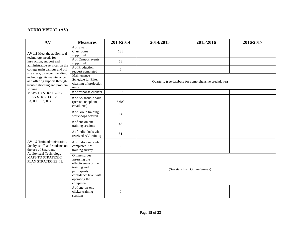#### **AUDIO VISUAL (AV)**

<span id="page-14-0"></span>

| AV                                                                                                                                                                    | <b>Measures</b>                                                                                                                                 | 2013/2014                                            | 2014/2015 | 2015/2016 | 2016/2017 |  |  |
|-----------------------------------------------------------------------------------------------------------------------------------------------------------------------|-------------------------------------------------------------------------------------------------------------------------------------------------|------------------------------------------------------|-----------|-----------|-----------|--|--|
| AV 1.1 Meet the audiovisual<br>technology needs for<br>instruction, support and                                                                                       | # of Smart<br>Classrooms<br>supported                                                                                                           | 138                                                  |           |           |           |  |  |
|                                                                                                                                                                       | # of Campus events<br>supported                                                                                                                 | 58                                                   |           |           |           |  |  |
| administrative services on the<br>college main campus and off<br>site areas, by recommending                                                                          | # of Production<br>request completed                                                                                                            | 6                                                    |           |           |           |  |  |
| technology, its maintenance,<br>and offering support through<br>trouble shooting and problem<br>solving                                                               | Maintenance<br>Schedule for Filter<br>cleaning of projection<br>units                                                                           | Quarterly (see database for comprehensive breakdown) |           |           |           |  |  |
| <b>MAPS TO STRATEGIC</b>                                                                                                                                              | # of response clickers                                                                                                                          | 153                                                  |           |           |           |  |  |
| <b>PLAN STRATEGIES</b><br>I.3, II.1, II.2, II.3                                                                                                                       | # of AV trouble calls<br>(person, telephone,<br>email, etc.)                                                                                    | 5,600                                                |           |           |           |  |  |
|                                                                                                                                                                       | # of Group training<br>workshops offered                                                                                                        | 14                                                   |           |           |           |  |  |
|                                                                                                                                                                       | # of one on one<br>training sessions                                                                                                            | 45                                                   |           |           |           |  |  |
|                                                                                                                                                                       | # of individuals who<br>received AV training                                                                                                    | 51                                                   |           |           |           |  |  |
| AV 1.2 Train administration.<br>faculty, staff and students on<br>the use of Smart and<br>Audiovisual Technology<br>MAPS TO STRATEGIC<br>PLAN STRATEGIES I.3,<br>II.3 | # of individuals who<br>completed AV<br>training survey                                                                                         | 56                                                   |           |           |           |  |  |
|                                                                                                                                                                       | Online survey<br>assessing the<br>effectiveness of the<br>training and<br>participants'<br>confidence level with<br>operating the<br>equipment. | (See stats from Online Survey)                       |           |           |           |  |  |
|                                                                                                                                                                       | # of one-on-one<br>clicker training<br>sessions                                                                                                 | $\boldsymbol{0}$                                     |           |           |           |  |  |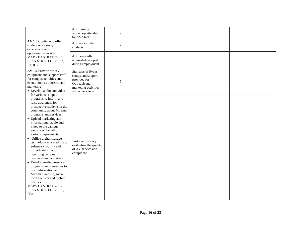|                                                                                                                                                                                                                                                                                                                                                                                                                                                                                                                                                                                                                                                          | # of training<br>workshop attended<br>by AV Staff                                                                             | 9                |  |  |
|----------------------------------------------------------------------------------------------------------------------------------------------------------------------------------------------------------------------------------------------------------------------------------------------------------------------------------------------------------------------------------------------------------------------------------------------------------------------------------------------------------------------------------------------------------------------------------------------------------------------------------------------------------|-------------------------------------------------------------------------------------------------------------------------------|------------------|--|--|
| AV 1.3 Continue to offer<br>student work study<br>experiences and                                                                                                                                                                                                                                                                                                                                                                                                                                                                                                                                                                                        | # of work study<br>students                                                                                                   | $\boldsymbol{7}$ |  |  |
| opportunities in AV<br>MAPS TO STRATEGIC<br>PLAN STRATEGIES I.2,<br>I.3, II.3                                                                                                                                                                                                                                                                                                                                                                                                                                                                                                                                                                            | # of new skills<br>attained/developed<br>during employment                                                                    | $\,8\,$          |  |  |
| AV 1.4 Provide the AV<br>equipment and support staff<br>for campus activities and<br>events such as outreach and<br>marketing<br>• Develop audio and video                                                                                                                                                                                                                                                                                                                                                                                                                                                                                               | <b>Statistics of Event</b><br>setups and support<br>provided for<br>Outreach and<br>marketing activities<br>and other events. | 5                |  |  |
| for various campus<br>programs to inform and<br>raise awareness for<br>prospective students in the<br>community about Miramar<br>programs and services.<br>• Upload marketing and<br>informational audio and<br>video to the campus<br>website on behalf of<br>various departments.<br>• Utilize digital signage<br>technology as a medium to<br>enhance visibility and<br>provide information<br>regarding campus<br>resources and activities.<br>• Develop media presence<br>programs and resources to<br>post information to<br>Miramar website, social<br>media outlets and mobile<br>devices.<br>MAPS TO STRATEGIC<br>PLAN STRATEGIES II.3,<br>IV.1 | Post event survey<br>evaluating the quality<br>of AV service and<br>equipment                                                 | 10               |  |  |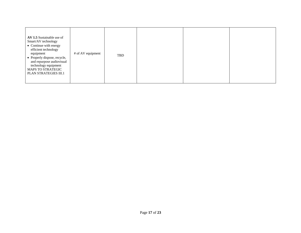| AV 1.5 Sustainable use of<br>Smart/AV technology<br>• Continue with energy<br>efficient technology<br>equipment<br>• Properly dispose, recycle,<br>and repurpose audiovisual<br>technology equipment<br><b>MAPS TO STRATEGIC</b><br>PLAN STRATEGIES III.1 | # of AV equipment | TBD |  |  |  |
|-----------------------------------------------------------------------------------------------------------------------------------------------------------------------------------------------------------------------------------------------------------|-------------------|-----|--|--|--|
|-----------------------------------------------------------------------------------------------------------------------------------------------------------------------------------------------------------------------------------------------------------|-------------------|-----|--|--|--|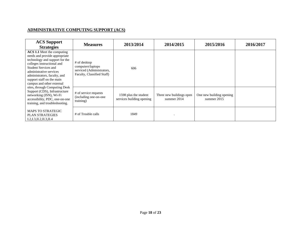#### **ADMINISTRATIVE COMPUTING SUPPORT (ACS)**

<span id="page-17-0"></span>

| <b>ACS Support</b><br><b>Strategies</b>                                                                                                                                                                                                                                                                                                                                                                                                          | <b>Measures</b>                                                                              | 2013/2014                                          | 2014/2015                                 | 2015/2016                               | 2016/2017 |
|--------------------------------------------------------------------------------------------------------------------------------------------------------------------------------------------------------------------------------------------------------------------------------------------------------------------------------------------------------------------------------------------------------------------------------------------------|----------------------------------------------------------------------------------------------|----------------------------------------------------|-------------------------------------------|-----------------------------------------|-----------|
| ACS 1.1 Meet the computing<br>needs and provide appropriate<br>technology and support for the<br>colleges instructional and<br><b>Student Services and</b><br>administrative services<br>administrators, faculty, and<br>support staff on the main<br>campus and other external<br>sites, through Computing Desk<br>Support (CDS), Infrastructure<br>networking (ISN), Wi-Fi<br>accessibility, PDC, one-on-one<br>training, and troubleshooting. | # of desktop<br>computers\laptops<br>serviced (Administrators,<br>Faculty, Classified Staff) | 606                                                |                                           |                                         |           |
|                                                                                                                                                                                                                                                                                                                                                                                                                                                  | # of service requests<br>(including one-on-one<br>training)                                  | 1598 plus the student<br>services building opening | Three new buildings open<br>summer $2014$ | One new building opening<br>summer 2015 |           |
| <b>MAPS TO STRATEGIC</b><br><b>PLAN STRATEGIES</b><br>I.2,I.3,I.I.2,I.I.3,I.I.4                                                                                                                                                                                                                                                                                                                                                                  | # of Trouble calls                                                                           | 1849                                               |                                           |                                         |           |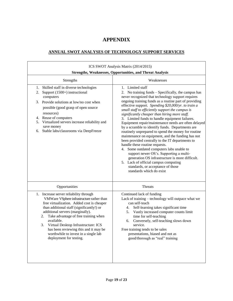## **APPENDIX**

#### <span id="page-18-0"></span>**ANNUAL SWOT ANALYSES OF TECHNOLOGY SUPPORT SERVICES**

<span id="page-18-1"></span>

| ICS SWOT Analysis Matrix (2014/2015)<br><b>Strengths, Weaknesses, Opportunities, and Threat Analysis</b>                                                                                                                                                                                                                                                                                                                                |                                                                                                                                                                                                                                                                                                                                                                                                                                                                                                                                                                                                                                                                                                                                                                                                                                                                                                                                                                       |  |  |  |  |  |
|-----------------------------------------------------------------------------------------------------------------------------------------------------------------------------------------------------------------------------------------------------------------------------------------------------------------------------------------------------------------------------------------------------------------------------------------|-----------------------------------------------------------------------------------------------------------------------------------------------------------------------------------------------------------------------------------------------------------------------------------------------------------------------------------------------------------------------------------------------------------------------------------------------------------------------------------------------------------------------------------------------------------------------------------------------------------------------------------------------------------------------------------------------------------------------------------------------------------------------------------------------------------------------------------------------------------------------------------------------------------------------------------------------------------------------|--|--|--|--|--|
| Strengths                                                                                                                                                                                                                                                                                                                                                                                                                               | Weaknesses                                                                                                                                                                                                                                                                                                                                                                                                                                                                                                                                                                                                                                                                                                                                                                                                                                                                                                                                                            |  |  |  |  |  |
| 1. Skilled staff in diverse technologies<br>Support (1500+) instructional<br>2.<br>computers<br>3. Provide solutions at low/no cost when<br>possible (good grasp of open source<br>resources)<br>4. Reuse of computers<br>5. Virtualized servers increase reliability and<br>save money<br>Stable labs/classrooms via DeepFreeze<br>6.                                                                                                  | 1. Limited staff<br>2. No training funds – Specifically, the campus has<br>never recognized that technology support requires<br>ongoing training funds as a routine part of providing<br>effective support. Spending \$20,000/yr. to train a<br>small staff to efficiently support the campus is<br>significantly cheaper than hiring more staff.<br>3. Limited funds to handle equipment failures.<br>Equipment repair/maintenance needs are often delayed<br>by a scramble to identify funds. Departments are<br>routinely unprepared to spend the money for routine<br>maintenance on equipment, and the funding has not<br>been provided centrally to the IT departments to<br>handle these routine requests.<br>4. Some outdated computers labs unable to<br>support newer OS's. Supporting a multi-<br>generation OS infrastructure is more difficult.<br>5. Lack of official campus computing<br>standards, or acceptance of those<br>standards which do exist |  |  |  |  |  |
| Opportunities                                                                                                                                                                                                                                                                                                                                                                                                                           | <b>Threats</b>                                                                                                                                                                                                                                                                                                                                                                                                                                                                                                                                                                                                                                                                                                                                                                                                                                                                                                                                                        |  |  |  |  |  |
| 1. Increase server reliability through<br>VMWare VSphere infrastructure rather than<br>free virtualization. Added cost is cheaper<br>than additional staff (significantly!) or<br>additional servers (marginally).<br>Take advantage of free training when<br>2.<br>available.<br>Virtual Desktop Infrastructure: ICS<br>3.<br>has been reviewing this and it may be<br>worthwhile to invest in a single lab<br>deployment for testing. | Continued lack of funding<br>Lack of training - technology will outpace what we<br>can self-teach<br>Self-learning takes significant time<br>4.<br>Vastly increased computer counts limit<br>5.<br>time for self-teaching<br>Conversely, self-teaching slows down<br>6.<br>service.<br>Free training tends to be sales<br>presentations, biased and not as<br>good/thorough as "real" training                                                                                                                                                                                                                                                                                                                                                                                                                                                                                                                                                                        |  |  |  |  |  |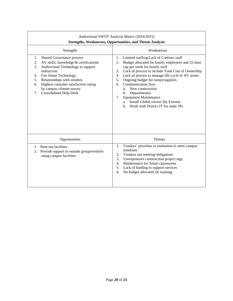| Audiovisual SWOT Analysis Matrix (2014/2015)<br><b>Strengths, Weaknesses, Opportunities, and Threat Analysis</b>                                                                                                                                                                                                                   |                                                                                                                                                                                                                                                                                                                                                                                                                                                                                                                                              |  |  |  |  |  |
|------------------------------------------------------------------------------------------------------------------------------------------------------------------------------------------------------------------------------------------------------------------------------------------------------------------------------------|----------------------------------------------------------------------------------------------------------------------------------------------------------------------------------------------------------------------------------------------------------------------------------------------------------------------------------------------------------------------------------------------------------------------------------------------------------------------------------------------------------------------------------------------|--|--|--|--|--|
| Strengths                                                                                                                                                                                                                                                                                                                          | Weaknesses                                                                                                                                                                                                                                                                                                                                                                                                                                                                                                                                   |  |  |  |  |  |
| Shared Governance process<br>1.<br>AV skills, knowledge & certifications<br>2.<br>Audiovisual Technology to support<br>3.<br>instruction<br><b>Use Smart Technology</b><br>4.<br>Relationships with vendors<br>5.<br>Highest customer satisfaction rating<br>6.<br>by campus climate survey<br><b>Consolidated Help Desk</b><br>7. | Limited staffing/Lack of Contract staff<br>1.<br>Budget allocated for hourly employees and 25 hour<br>2.<br>cap per week for hourly staff.<br>Lack of process to include Total Cost of Ownership<br>3.<br>Lack of process to manage life cycle of AV assets<br>4.<br>Ongoing budget for lamps/supplies<br>5.<br>Communication flow<br>6.<br>New construction<br>a.<br>Departmental<br>$\mathbf{b}$ .<br><b>Equipment Maintenance</b><br>7.<br>Install Global viewer (by Extron)<br>a.<br>Work with District IT for static IPs<br>$h_{\cdot}$ |  |  |  |  |  |
| Opportunities                                                                                                                                                                                                                                                                                                                      | <b>Threats</b>                                                                                                                                                                                                                                                                                                                                                                                                                                                                                                                               |  |  |  |  |  |
| 1. Rent out facilities<br>Provide support to outside groups/entities<br>2.<br>using campus facilities                                                                                                                                                                                                                              | Vendors' priorities to institution to meet campus<br>1.<br>timelines<br>Vendors not meeting obligations<br>2.<br>3.<br>Unresponsive construction project mgt.<br>Maintenance for Smart classrooms<br>4.<br>5.<br>Lack of funding to support services<br>No budget allocated for training<br>6.                                                                                                                                                                                                                                               |  |  |  |  |  |

┑

 $\Gamma$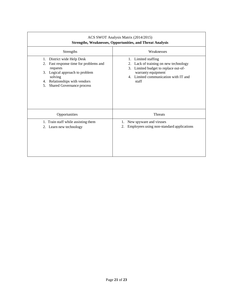| ACS SWOT Analysis Matrix (2014/2015)<br><b>Strengths, Weaknesses, Opportunities, and Threat Analysis</b>                                                                                                   |                                                                                                                                                                                      |  |  |  |  |  |
|------------------------------------------------------------------------------------------------------------------------------------------------------------------------------------------------------------|--------------------------------------------------------------------------------------------------------------------------------------------------------------------------------------|--|--|--|--|--|
| Strengths                                                                                                                                                                                                  | Weaknesses                                                                                                                                                                           |  |  |  |  |  |
| District wide Help Desk<br>1.<br>Fast response time for problems and<br>2.<br>requests<br>3. Logical approach to problem<br>solving<br>Relationships with vendors<br>4.<br>Shared Governance process<br>5. | Limited staffing<br>1.<br>Lack of training on new technology<br>2.<br>Limited budget to replace out-of-<br>3.<br>warranty equipment<br>4. Limited communication with IT and<br>staff |  |  |  |  |  |
| Opportunities                                                                                                                                                                                              | <b>Threats</b>                                                                                                                                                                       |  |  |  |  |  |
| 1. Train staff while assisting them<br>2. Learn new technology                                                                                                                                             | New spyware and viruses<br>1.<br>Employees using non-standard applications<br>2.                                                                                                     |  |  |  |  |  |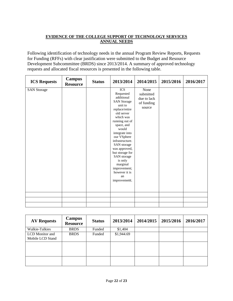#### <span id="page-21-0"></span>**EVIDENCE OF THE COLLEGE SUPPORT OF TECHNOLOGY SERVICES ANNUAL NEEDS**

Following identification of technology needs in the annual Program Review Reports, Requests for Funding (RFFs) with clear justification were submitted to the Budget and Resource Development Subcommittee (BRDS) since 2013/2014. A summary of approved technology requests and allocated fiscal resources is presented in the following table.

| <b>ICS</b><br>None<br><b>SAN Storage</b><br>Requested<br>submitted<br>additional<br>due to lack<br><b>SAN Storage</b><br>of funding<br>unit to<br>source<br>replace/retire<br>old server<br>which was<br>running out of<br>space, and<br>would<br>integrate into<br>our VSphere<br>infrastructure. | <b>ICS Requests</b> | <b>Campus</b><br><b>Resource</b> | <b>Status</b> | 2013/2014   | 2014/2015 | 2015/2016 | 2016/2017 |
|----------------------------------------------------------------------------------------------------------------------------------------------------------------------------------------------------------------------------------------------------------------------------------------------------|---------------------|----------------------------------|---------------|-------------|-----------|-----------|-----------|
| was approved,<br>but storage for<br>SAN storage<br>is only<br>marginal<br>improvement;<br>however it is<br>an<br>improvement.                                                                                                                                                                      |                     |                                  |               | SAN storage |           |           |           |

| <b>AV Requests</b>                  | Campus<br><b>Resource</b> | <b>Status</b> | 2013/2014  | 2014/2015 | 2015/2016 | 2016/2017 |
|-------------------------------------|---------------------------|---------------|------------|-----------|-----------|-----------|
| Walkie-Talkies                      | <b>BRDS</b>               | Funded        | \$1,404    |           |           |           |
| LCD Monitor and<br>Mobile LCD Stand | <b>BRDS</b>               | Funded        | \$1,944.69 |           |           |           |
|                                     |                           |               |            |           |           |           |